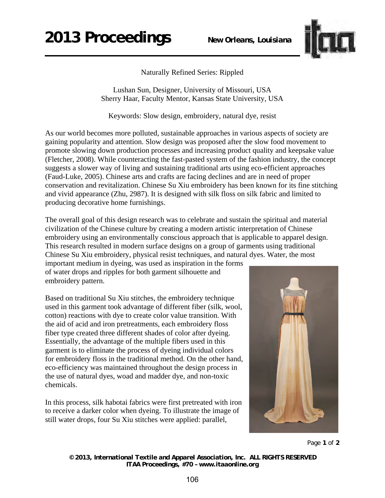

Naturally Refined Series: Rippled

Lushan Sun, Designer, University of Missouri, USA Sherry Haar, Faculty Mentor, Kansas State University, USA

Keywords: Slow design, embroidery, natural dye, resist

As our world becomes more polluted, sustainable approaches in various aspects of society are gaining popularity and attention. Slow design was proposed after the slow food movement to promote slowing down production processes and increasing product quality and keepsake value (Fletcher, 2008). While counteracting the fast-pasted system of the fashion industry, the concept suggests a slower way of living and sustaining traditional arts using eco-efficient approaches (Faud-Luke, 2005). Chinese arts and crafts are facing declines and are in need of proper conservation and revitalization. Chinese Su Xiu embroidery has been known for its fine stitching and vivid appearance (Zhu, 2987). It is designed with silk floss on silk fabric and limited to producing decorative home furnishings.

The overall goal of this design research was to celebrate and sustain the spiritual and material civilization of the Chinese culture by creating a modern artistic interpretation of Chinese embroidery using an environmentally conscious approach that is applicable to apparel design. This research resulted in modern surface designs on a group of garments using traditional Chinese Su Xiu embroidery, physical resist techniques, and natural dyes. Water, the most

important medium in dyeing, was used as inspiration in the forms of water drops and ripples for both garment silhouette and embroidery pattern.

Based on traditional Su Xiu stitches, the embroidery technique used in this garment took advantage of different fiber (silk, wool, cotton) reactions with dye to create color value transition. With the aid of acid and iron pretreatments, each embroidery floss fiber type created three different shades of color after dyeing. Essentially, the advantage of the multiple fibers used in this garment is to eliminate the process of dyeing individual colors for embroidery floss in the traditional method. On the other hand, eco-efficiency was maintained throughout the design process in the use of natural dyes, woad and madder dye, and non-toxic chemicals.

In this process, silk habotai fabrics were first pretreated with iron to receive a darker color when dyeing. To illustrate the image of still water drops, four Su Xiu stitches were applied: parallel,



Page **1** of **2** 

*© 2013, International Textile and Apparel Association, Inc. ALL RIGHTS RESERVED ITAA Proceedings, #70 – www.itaaonline.org*